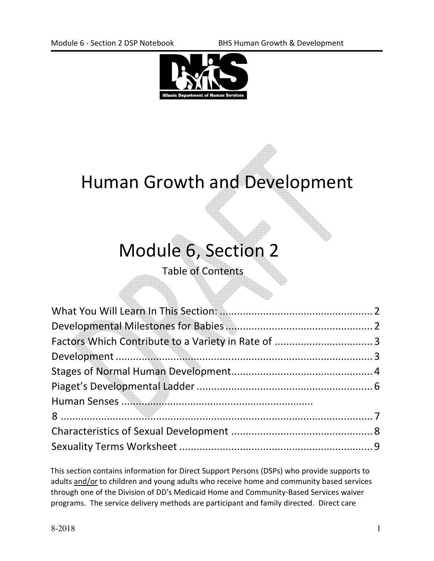

# Human Growth and Development

# Module 6, Section 2

Table of Contents

This section contains information for Direct Support Persons (DSPs) who provide supports to adults and/or to children and young adults who receive home and community based services through one of the Division of DD's Medicaid Home and Community-Based Services waiver programs. The service delivery methods are participant and family directed. Direct care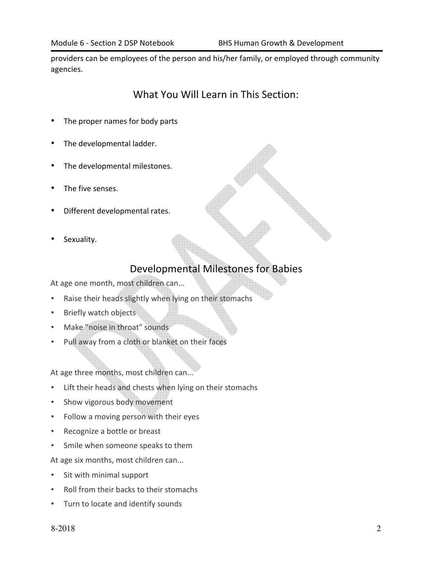providers can be employees of the person and his/her family, or employed through community agencies.

### What You Will Learn in This Section:

- The proper names for body parts
- The developmental ladder.
- The developmental milestones.
- The five senses.
- Different developmental rates.
- Sexuality.

### Developmental Milestones for Babies

At age one month, most children can...

- Raise their heads slightly when lying on their stomachs
- Briefly watch objects
- Make "noise in throat" sounds
- Pull away from a cloth or blanket on their faces

At age three months, most children can...

- Lift their heads and chests when lying on their stomachs
- Show vigorous body movement
- Follow a moving person with their eyes
- Recognize a bottle or breast
- Smile when someone speaks to them

At age six months, most children can...

- Sit with minimal support
- Roll from their backs to their stomachs
- Turn to locate and identify sounds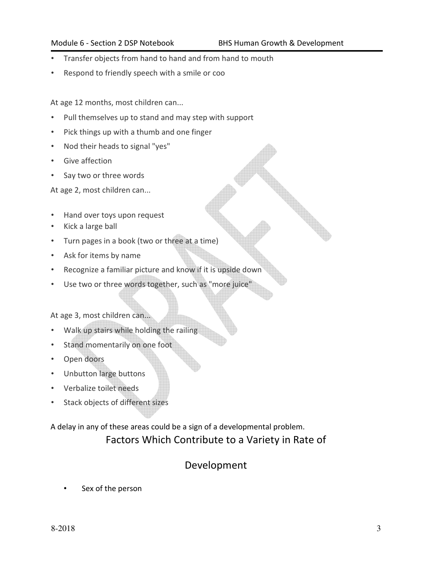- Transfer objects from hand to hand and from hand to mouth
- Respond to friendly speech with a smile or coo

At age 12 months, most children can...

- Pull themselves up to stand and may step with support
- Pick things up with a thumb and one finger
- Nod their heads to signal "yes"
- Give affection
- Say two or three words

At age 2, most children can...

- Hand over toys upon request
- Kick a large ball
- Turn pages in a book (two or three at a time)
- Ask for items by name
- Recognize a familiar picture and know if it is upside down
- Use two or three words together, such as "more juice"

At age 3, most children can...

- Walk up stairs while holding the railing
- Stand momentarily on one foot
- Open doors
- Unbutton large buttons
- Verbalize toilet needs
- Stack objects of different sizes

A delay in any of these areas could be a sign of a developmental problem.

### Factors Which Contribute to a Variety in Rate of

### Development

Sex of the person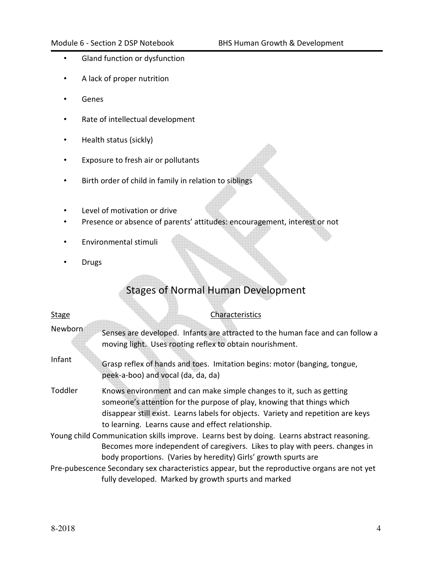- Gland function or dysfunction
- A lack of proper nutrition
- Genes
- Rate of intellectual development
- Health status (sickly)
- Exposure to fresh air or pollutants
- Birth order of child in family in relation to siblings
- Level of motivation or drive
- Presence or absence of parents' attitudes: encouragement, interest or not
- Environmental stimuli
- Drugs

## Stages of Normal Human Development

| <b>Stage</b> | Characteristics                                                                                                                                                                                                                                                                           |
|--------------|-------------------------------------------------------------------------------------------------------------------------------------------------------------------------------------------------------------------------------------------------------------------------------------------|
| Newborn      | Senses are developed. Infants are attracted to the human face and can follow a<br>moving light. Uses rooting reflex to obtain nourishment.                                                                                                                                                |
| Infant       | Grasp reflex of hands and toes. Imitation begins: motor (banging, tongue,<br>peek-a-boo) and vocal (da, da, da)                                                                                                                                                                           |
| Toddler      | Knows environment and can make simple changes to it, such as getting<br>someone's attention for the purpose of play, knowing that things which<br>disappear still exist. Learns labels for objects. Variety and repetition are keys<br>to learning. Learns cause and effect relationship. |
|              | Young child Communication skills improve. Learns best by doing. Learns abstract reasoning.<br>Becomes more independent of caregivers. Likes to play with peers. changes in<br>body proportions. (Varies by heredity) Girls' growth spurts are                                             |
|              | Pre-pubescence Secondary sex characteristics appear, but the reproductive organs are not yet<br>fully developed. Marked by growth spurts and marked                                                                                                                                       |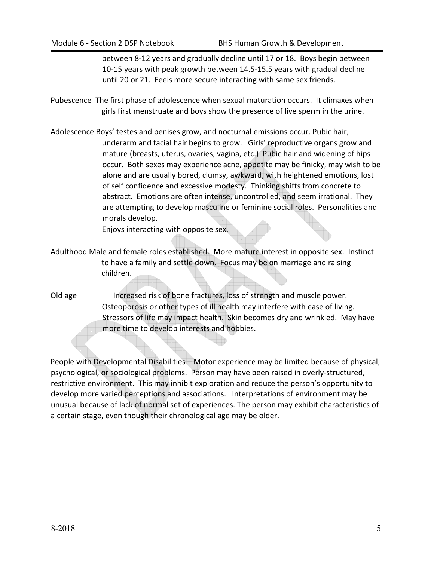between 8-12 years and gradually decline until 17 or 18. Boys begin between 10-15 years with peak growth between 14.5-15.5 years with gradual decline until 20 or 21. Feels more secure interacting with same sex friends.

- Pubescence The first phase of adolescence when sexual maturation occurs. It climaxes when girls first menstruate and boys show the presence of live sperm in the urine.
- Adolescence Boys' testes and penises grow, and nocturnal emissions occur. Pubic hair, underarm and facial hair begins to grow. Girls' reproductive organs grow and mature (breasts, uterus, ovaries, vagina, etc.) Pubic hair and widening of hips occur. Both sexes may experience acne, appetite may be finicky, may wish to be alone and are usually bored, clumsy, awkward, with heightened emotions, lost of self confidence and excessive modesty. Thinking shifts from concrete to abstract. Emotions are often intense, uncontrolled, and seem irrational. They are attempting to develop masculine or feminine social roles. Personalities and morals develop.

Enjoys interacting with opposite sex.

- Adulthood Male and female roles established. More mature interest in opposite sex. Instinct to have a family and settle down. Focus may be on marriage and raising children.
- Old age Increased risk of bone fractures, loss of strength and muscle power. Osteoporosis or other types of ill health may interfere with ease of living. Stressors of life may impact health. Skin becomes dry and wrinkled. May have more time to develop interests and hobbies.

People with Developmental Disabilities – Motor experience may be limited because of physical, psychological, or sociological problems. Person may have been raised in overly-structured, restrictive environment. This may inhibit exploration and reduce the person's opportunity to develop more varied perceptions and associations. Interpretations of environment may be unusual because of lack of normal set of experiences. The person may exhibit characteristics of a certain stage, even though their chronological age may be older.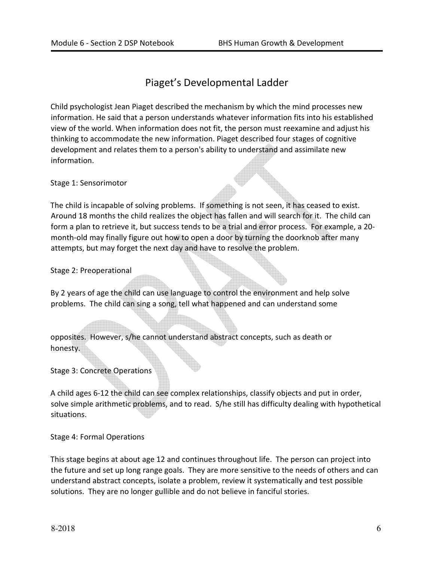## Piaget's Developmental Ladder

Child psychologist Jean Piaget described the mechanism by which the mind processes new information. He said that a person understands whatever information fits into his established view of the world. When information does not fit, the person must reexamine and adjust his thinking to accommodate the new information. Piaget described four stages of cognitive development and relates them to a person's ability to understand and assimilate new information.

Stage 1: Sensorimotor

The child is incapable of solving problems. If something is not seen, it has ceased to exist. Around 18 months the child realizes the object has fallen and will search for it. The child can form a plan to retrieve it, but success tends to be a trial and error process. For example, a 20 month-old may finally figure out how to open a door by turning the doorknob after many attempts, but may forget the next day and have to resolve the problem.

Stage 2: Preoperational

By 2 years of age the child can use language to control the environment and help solve problems. The child can sing a song, tell what happened and can understand some

opposites. However, s/he cannot understand abstract concepts, such as death or honesty.

Stage 3: Concrete Operations

A child ages 6-12 the child can see complex relationships, classify objects and put in order, solve simple arithmetic problems, and to read. S/he still has difficulty dealing with hypothetical situations.

Stage 4: Formal Operations

This stage begins at about age 12 and continues throughout life. The person can project into the future and set up long range goals. They are more sensitive to the needs of others and can understand abstract concepts, isolate a problem, review it systematically and test possible solutions. They are no longer gullible and do not believe in fanciful stories.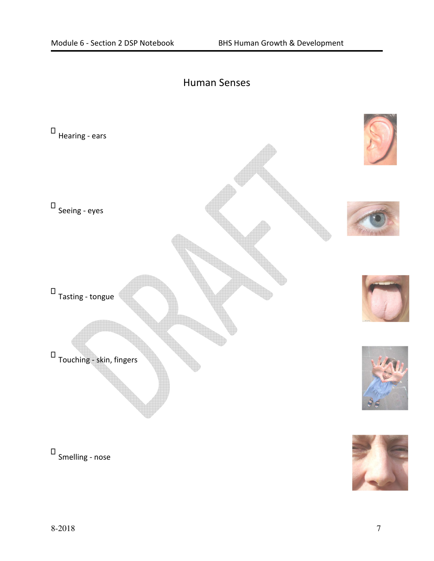## Human Senses



Smelling - nose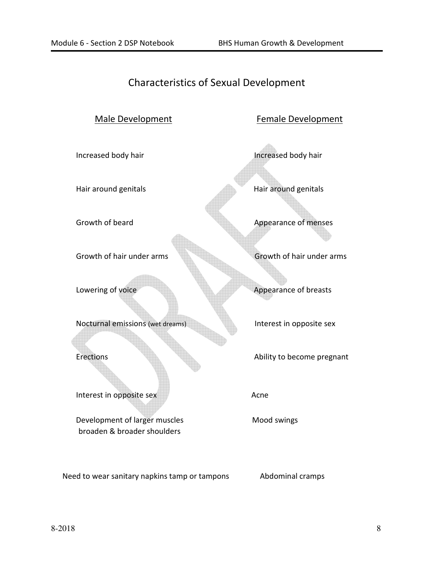# Characteristics of Sexual Development

| Male Development                                             | Female Development         |
|--------------------------------------------------------------|----------------------------|
| Increased body hair                                          | Increased body hair        |
| Hair around genitals                                         | Hair around genitals       |
| Growth of beard                                              | Appearance of menses       |
| Growth of hair under arms                                    | Growth of hair under arms  |
| Lowering of voice                                            | Appearance of breasts      |
| Nocturnal emissions (wet dreams)                             | Interest in opposite sex   |
| <b>Erections</b>                                             | Ability to become pregnant |
| Interest in opposite sex                                     | Acne                       |
| Development of larger muscles<br>broaden & broader shoulders | Mood swings                |

Need to wear sanitary napkins tamp or tampons Abdominal cramps